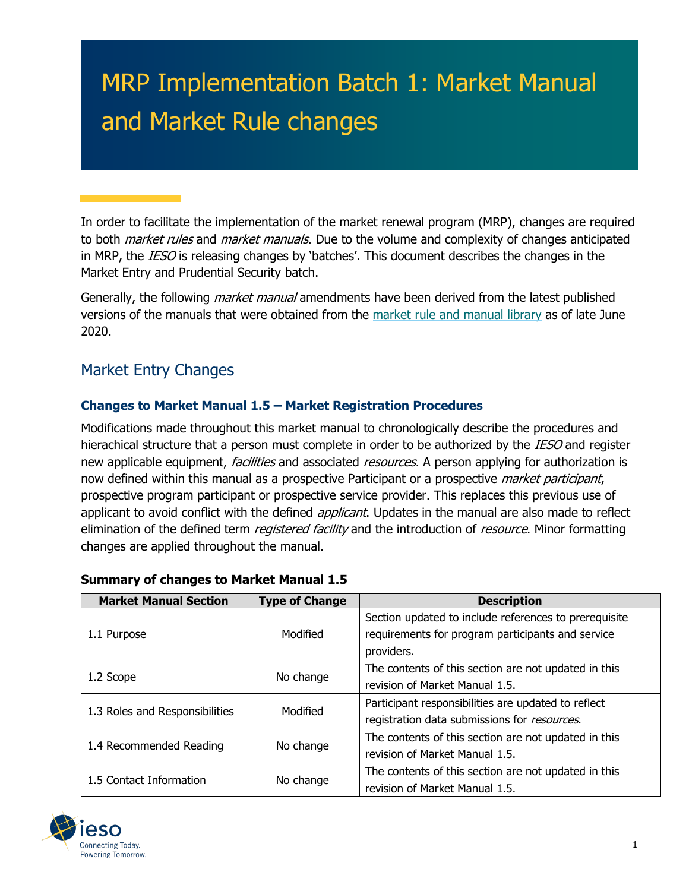# MRP Implementation Batch 1: Market Manual and Market Rule changes

In order to facilitate the implementation of the market renewal program (MRP), changes are required to both *market rules* and *market manuals*. Due to the volume and complexity of changes anticipated in MRP, the *IESO* is releasing changes by 'batches'. This document describes the changes in the Market Entry and Prudential Security batch.

Generally, the following *market manual* amendments have been derived from the latest published versions of the manuals that were obtained from the [market rule and manual library](http://www.ieso.ca/en/Sector-Participants/Market-Operations/Market-Rules-And-Manuals-Library) as of late June 2020.

## Market Entry Changes

## **Changes to Market Manual 1.5 – Market Registration Procedures**

Modifications made throughout this market manual to chronologically describe the procedures and hierachical structure that a person must complete in order to be authorized by the IESO and register new applicable equipment, *facilities* and associated *resources*. A person applying for authorization is now defined within this manual as a prospective Participant or a prospective *market participant*, prospective program participant or prospective service provider. This replaces this previous use of applicant to avoid conflict with the defined *applicant*. Updates in the manual are also made to reflect elimination of the defined term *registered facility* and the introduction of *resource*. Minor formatting changes are applied throughout the manual.

| <b>Market Manual Section</b>         | <b>Type of Change</b> | <b>Description</b>                                    |  |
|--------------------------------------|-----------------------|-------------------------------------------------------|--|
|                                      |                       | Section updated to include references to prerequisite |  |
| 1.1 Purpose                          | Modified              | requirements for program participants and service     |  |
|                                      |                       | providers.                                            |  |
|                                      |                       | The contents of this section are not updated in this  |  |
| 1.2 Scope                            | No change             | revision of Market Manual 1.5.                        |  |
|                                      | Modified              | Participant responsibilities are updated to reflect   |  |
| 1.3 Roles and Responsibilities       |                       | registration data submissions for resources.          |  |
|                                      |                       | The contents of this section are not updated in this  |  |
| 1.4 Recommended Reading<br>No change |                       | revision of Market Manual 1.5.                        |  |
|                                      |                       | The contents of this section are not updated in this  |  |
| 1.5 Contact Information              | No change             | revision of Market Manual 1.5.                        |  |

#### **Summary of changes to Market Manual 1.5**

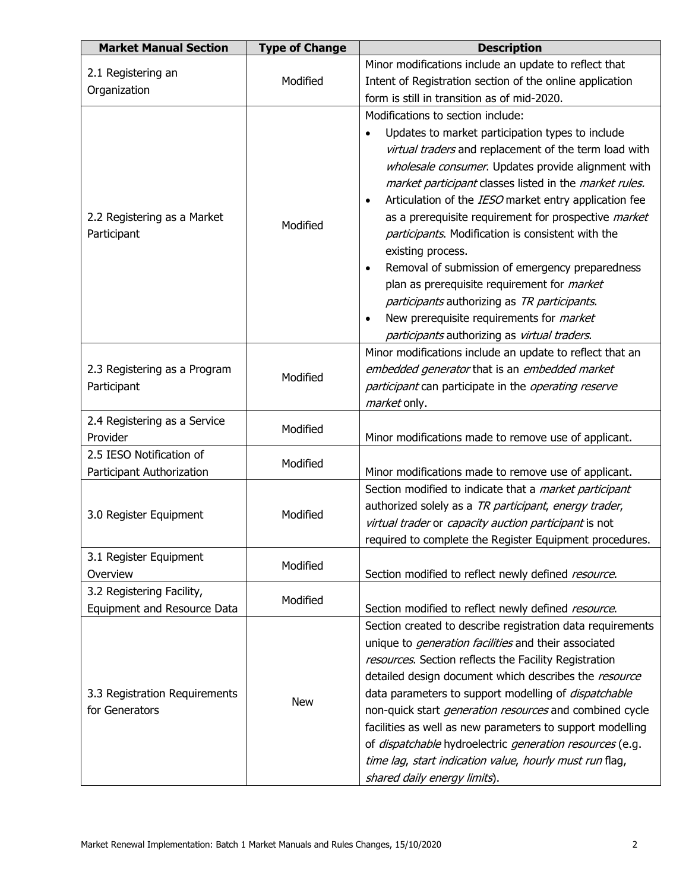| <b>Market Manual Section</b>       | <b>Type of Change</b> | <b>Description</b>                                                                                             |
|------------------------------------|-----------------------|----------------------------------------------------------------------------------------------------------------|
|                                    |                       | Minor modifications include an update to reflect that                                                          |
| 2.1 Registering an<br>Organization | Modified              | Intent of Registration section of the online application                                                       |
|                                    |                       | form is still in transition as of mid-2020.                                                                    |
|                                    |                       | Modifications to section include:                                                                              |
|                                    |                       | Updates to market participation types to include                                                               |
|                                    |                       | virtual traders and replacement of the term load with                                                          |
|                                    |                       | wholesale consumer. Updates provide alignment with                                                             |
|                                    |                       | market participant classes listed in the market rules.                                                         |
|                                    |                       | Articulation of the IESO market entry application fee                                                          |
| 2.2 Registering as a Market        | Modified              | as a prerequisite requirement for prospective <i>market</i>                                                    |
| Participant                        |                       | participants. Modification is consistent with the                                                              |
|                                    |                       | existing process.                                                                                              |
|                                    |                       | Removal of submission of emergency preparedness<br>$\bullet$                                                   |
|                                    |                       | plan as prerequisite requirement for <i>market</i>                                                             |
|                                    |                       | participants authorizing as TR participants.                                                                   |
|                                    |                       | New prerequisite requirements for <i>market</i><br>$\bullet$                                                   |
|                                    |                       | participants authorizing as virtual traders.                                                                   |
|                                    |                       | Minor modifications include an update to reflect that an                                                       |
| 2.3 Registering as a Program       | Modified              | embedded generator that is an embedded market                                                                  |
| Participant                        |                       | participant can participate in the operating reserve                                                           |
|                                    |                       | market only.                                                                                                   |
| 2.4 Registering as a Service       | Modified              |                                                                                                                |
| Provider                           |                       | Minor modifications made to remove use of applicant.                                                           |
| 2.5 IESO Notification of           | Modified              |                                                                                                                |
| Participant Authorization          |                       | Minor modifications made to remove use of applicant.                                                           |
|                                    |                       | Section modified to indicate that a <i>market participant</i>                                                  |
| 3.0 Register Equipment             | Modified              | authorized solely as a TR participant, energy trader,                                                          |
|                                    |                       | virtual trader or capacity auction participant is not                                                          |
|                                    |                       | required to complete the Register Equipment procedures.                                                        |
| 3.1 Register Equipment             | Modified              |                                                                                                                |
| Overview                           |                       | Section modified to reflect newly defined resource.                                                            |
| 3.2 Registering Facility,          | Modified              |                                                                                                                |
| Equipment and Resource Data        |                       | Section modified to reflect newly defined resource.                                                            |
|                                    |                       | Section created to describe registration data requirements                                                     |
|                                    |                       | unique to <i>generation facilities</i> and their associated                                                    |
|                                    |                       | resources. Section reflects the Facility Registration<br>detailed design document which describes the resource |
| 3.3 Registration Requirements      |                       | data parameters to support modelling of <i>dispatchable</i>                                                    |
| for Generators                     | <b>New</b>            | non-quick start <i>generation resources</i> and combined cycle                                                 |
|                                    |                       | facilities as well as new parameters to support modelling                                                      |
|                                    |                       | of dispatchable hydroelectric generation resources (e.g.                                                       |
|                                    |                       | time lag, start indication value, hourly must run flag,                                                        |
|                                    |                       | shared daily energy limits).                                                                                   |
|                                    |                       |                                                                                                                |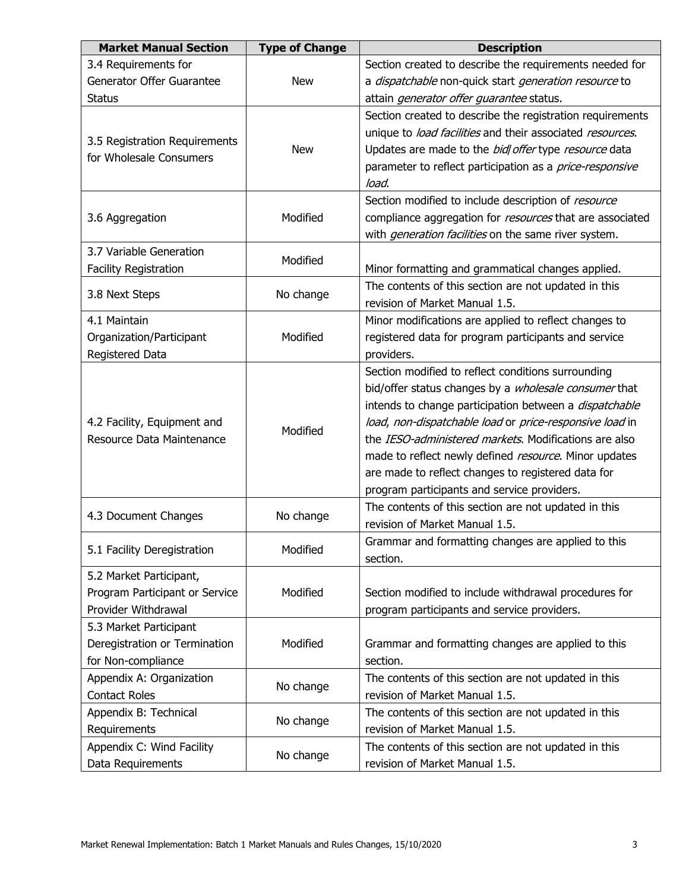| <b>Market Manual Section</b>                             | <b>Type of Change</b> | <b>Description</b>                                            |  |  |
|----------------------------------------------------------|-----------------------|---------------------------------------------------------------|--|--|
| 3.4 Requirements for                                     |                       | Section created to describe the requirements needed for       |  |  |
| Generator Offer Guarantee                                | <b>New</b>            | a dispatchable non-quick start generation resource to         |  |  |
| <b>Status</b>                                            |                       | attain generator offer guarantee status.                      |  |  |
|                                                          |                       | Section created to describe the registration requirements     |  |  |
|                                                          |                       | unique to load facilities and their associated resources.     |  |  |
| 3.5 Registration Requirements<br>for Wholesale Consumers | <b>New</b>            | Updates are made to the bid offer type resource data          |  |  |
|                                                          |                       | parameter to reflect participation as a price-responsive      |  |  |
|                                                          |                       | load.                                                         |  |  |
|                                                          |                       | Section modified to include description of resource           |  |  |
| 3.6 Aggregation                                          | Modified              | compliance aggregation for resources that are associated      |  |  |
|                                                          |                       | with <i>generation facilities</i> on the same river system.   |  |  |
| 3.7 Variable Generation                                  | Modified              |                                                               |  |  |
| <b>Facility Registration</b>                             |                       | Minor formatting and grammatical changes applied.             |  |  |
| 3.8 Next Steps                                           | No change             | The contents of this section are not updated in this          |  |  |
|                                                          |                       | revision of Market Manual 1.5.                                |  |  |
| 4.1 Maintain                                             |                       | Minor modifications are applied to reflect changes to         |  |  |
| Organization/Participant                                 | Modified              | registered data for program participants and service          |  |  |
| Registered Data                                          |                       | providers.                                                    |  |  |
|                                                          |                       | Section modified to reflect conditions surrounding            |  |  |
|                                                          |                       | bid/offer status changes by a wholesale consumer that         |  |  |
|                                                          | Modified              | intends to change participation between a <i>dispatchable</i> |  |  |
| 4.2 Facility, Equipment and                              |                       | load, non-dispatchable load or price-responsive load in       |  |  |
| Resource Data Maintenance                                |                       | the IESO-administered markets. Modifications are also         |  |  |
|                                                          |                       | made to reflect newly defined resource. Minor updates         |  |  |
|                                                          |                       | are made to reflect changes to registered data for            |  |  |
|                                                          |                       | program participants and service providers.                   |  |  |
| 4.3 Document Changes                                     | No change             | The contents of this section are not updated in this          |  |  |
|                                                          |                       | revision of Market Manual 1.5.                                |  |  |
| 5.1 Facility Deregistration                              | Modified              | Grammar and formatting changes are applied to this            |  |  |
|                                                          |                       | section.                                                      |  |  |
| 5.2 Market Participant,                                  |                       |                                                               |  |  |
| Program Participant or Service                           | Modified              | Section modified to include withdrawal procedures for         |  |  |
| Provider Withdrawal                                      |                       | program participants and service providers.                   |  |  |
| 5.3 Market Participant                                   |                       |                                                               |  |  |
| Deregistration or Termination                            | Modified              | Grammar and formatting changes are applied to this            |  |  |
| for Non-compliance                                       |                       | section.                                                      |  |  |
| Appendix A: Organization                                 | No change             | The contents of this section are not updated in this          |  |  |
| <b>Contact Roles</b>                                     |                       | revision of Market Manual 1.5.                                |  |  |
| Appendix B: Technical                                    | No change             | The contents of this section are not updated in this          |  |  |
| Requirements                                             |                       | revision of Market Manual 1.5.                                |  |  |
| Appendix C: Wind Facility                                | No change             | The contents of this section are not updated in this          |  |  |
| Data Requirements                                        |                       | revision of Market Manual 1.5.                                |  |  |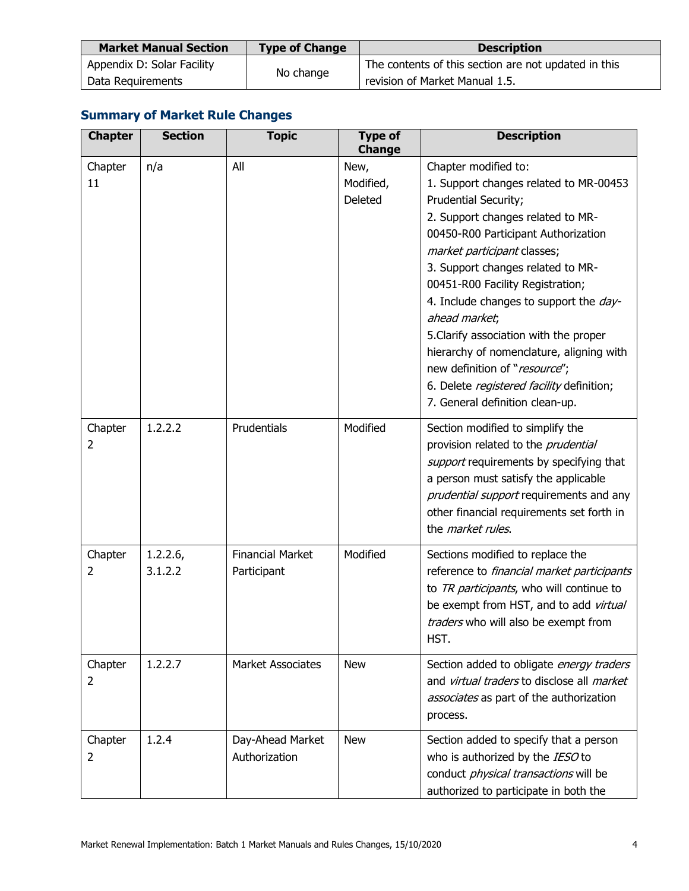| <b>Market Manual Section</b> | <b>Type of Change</b> | <b>Description</b>                                   |  |
|------------------------------|-----------------------|------------------------------------------------------|--|
| Appendix D: Solar Facility   |                       | The contents of this section are not updated in this |  |
| Data Requirements            | No change             | revision of Market Manual 1.5.                       |  |

## **Summary of Market Rule Changes**

| <b>Chapter</b> | <b>Section</b>     | <b>Topic</b>                           | <b>Type of</b><br><b>Change</b> | <b>Description</b>                                                                                                                                                                                                                                                                                                                                                                                                                                                                                                                           |
|----------------|--------------------|----------------------------------------|---------------------------------|----------------------------------------------------------------------------------------------------------------------------------------------------------------------------------------------------------------------------------------------------------------------------------------------------------------------------------------------------------------------------------------------------------------------------------------------------------------------------------------------------------------------------------------------|
| Chapter<br>11  | n/a                | All                                    | New,<br>Modified,<br>Deleted    | Chapter modified to:<br>1. Support changes related to MR-00453<br>Prudential Security;<br>2. Support changes related to MR-<br>00450-R00 Participant Authorization<br>market participant classes;<br>3. Support changes related to MR-<br>00451-R00 Facility Registration;<br>4. Include changes to support the day-<br>ahead market;<br>5. Clarify association with the proper<br>hierarchy of nomenclature, aligning with<br>new definition of "resource";<br>6. Delete registered facility definition;<br>7. General definition clean-up. |
| Chapter<br>2   | 1.2.2.2            | Prudentials                            | Modified                        | Section modified to simplify the<br>provision related to the <i>prudential</i><br>support requirements by specifying that<br>a person must satisfy the applicable<br>prudential support requirements and any<br>other financial requirements set forth in<br>the market rules.                                                                                                                                                                                                                                                               |
| Chapter<br>2   | 1.2.2.6<br>3.1.2.2 | <b>Financial Market</b><br>Participant | Modified                        | Sections modified to replace the<br>reference to financial market participants<br>to TR participants, who will continue to<br>be exempt from HST, and to add virtual<br>traders who will also be exempt from<br>HST.                                                                                                                                                                                                                                                                                                                         |
| Chapter<br>2   | 1.2.2.7            | <b>Market Associates</b>               | <b>New</b>                      | Section added to obligate energy traders<br>and virtual traders to disclose all market<br>associates as part of the authorization<br>process.                                                                                                                                                                                                                                                                                                                                                                                                |
| Chapter<br>2   | 1.2.4              | Day-Ahead Market<br>Authorization      | <b>New</b>                      | Section added to specify that a person<br>who is authorized by the IESO to<br>conduct <i>physical transactions</i> will be<br>authorized to participate in both the                                                                                                                                                                                                                                                                                                                                                                          |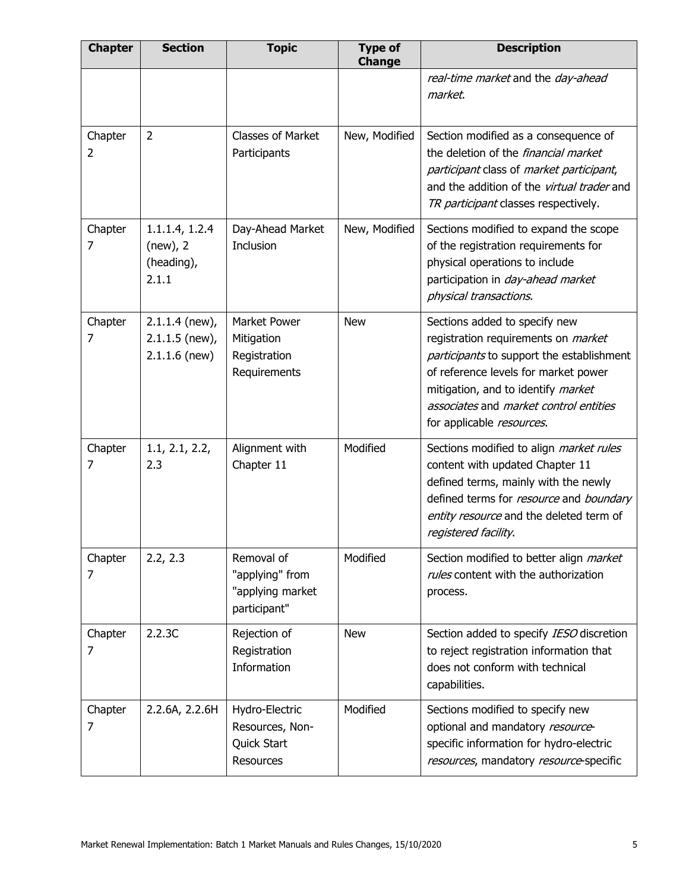| <b>Chapter</b> | <b>Section</b>                                          | <b>Topic</b>                                                      | <b>Type of</b><br><b>Change</b> | <b>Description</b>                                                                                                                                                                                                                                                            |
|----------------|---------------------------------------------------------|-------------------------------------------------------------------|---------------------------------|-------------------------------------------------------------------------------------------------------------------------------------------------------------------------------------------------------------------------------------------------------------------------------|
|                |                                                         |                                                                   |                                 | real-time market and the day-ahead<br>market.                                                                                                                                                                                                                                 |
| Chapter<br>2   | $\overline{2}$                                          | Classes of Market<br>Participants                                 | New, Modified                   | Section modified as a consequence of<br>the deletion of the <i>financial market</i><br>participant class of market participant,<br>and the addition of the virtual trader and<br>TR participant classes respectively.                                                         |
| Chapter<br>7   | 1.1.1.4, 1.2.4<br>(new), 2<br>(heading),<br>2.1.1       | Day-Ahead Market<br>Inclusion                                     | New, Modified                   | Sections modified to expand the scope<br>of the registration requirements for<br>physical operations to include<br>participation in day-ahead market<br>physical transactions.                                                                                                |
| Chapter<br>7   | $2.1.1.4$ (new),<br>$2.1.1.5$ (new),<br>$2.1.1.6$ (new) | Market Power<br>Mitigation<br>Registration<br>Requirements        | <b>New</b>                      | Sections added to specify new<br>registration requirements on <i>market</i><br>participants to support the establishment<br>of reference levels for market power<br>mitigation, and to identify market<br>associates and market control entities<br>for applicable resources. |
| Chapter<br>7   | 1.1, 2.1, 2.2,<br>2.3                                   | Alignment with<br>Chapter 11                                      | Modified                        | Sections modified to align <i>market rules</i><br>content with updated Chapter 11<br>defined terms, mainly with the newly<br>defined terms for resource and boundary<br>entity resource and the deleted term of<br>registered facility.                                       |
| Chapter<br>7   | 2.2, 2.3                                                | Removal of<br>"applying" from<br>"applying market<br>participant" | Modified                        | Section modified to better align market<br>rules content with the authorization<br>process.                                                                                                                                                                                   |
| Chapter<br>7   | 2.2.3C                                                  | Rejection of<br>Registration<br>Information                       | <b>New</b>                      | Section added to specify IESO discretion<br>to reject registration information that<br>does not conform with technical<br>capabilities.                                                                                                                                       |
| Chapter<br>7   | 2.2.6A, 2.2.6H                                          | Hydro-Electric<br>Resources, Non-<br>Quick Start<br>Resources     | Modified                        | Sections modified to specify new<br>optional and mandatory resource-<br>specific information for hydro-electric<br>resources, mandatory resource-specific                                                                                                                     |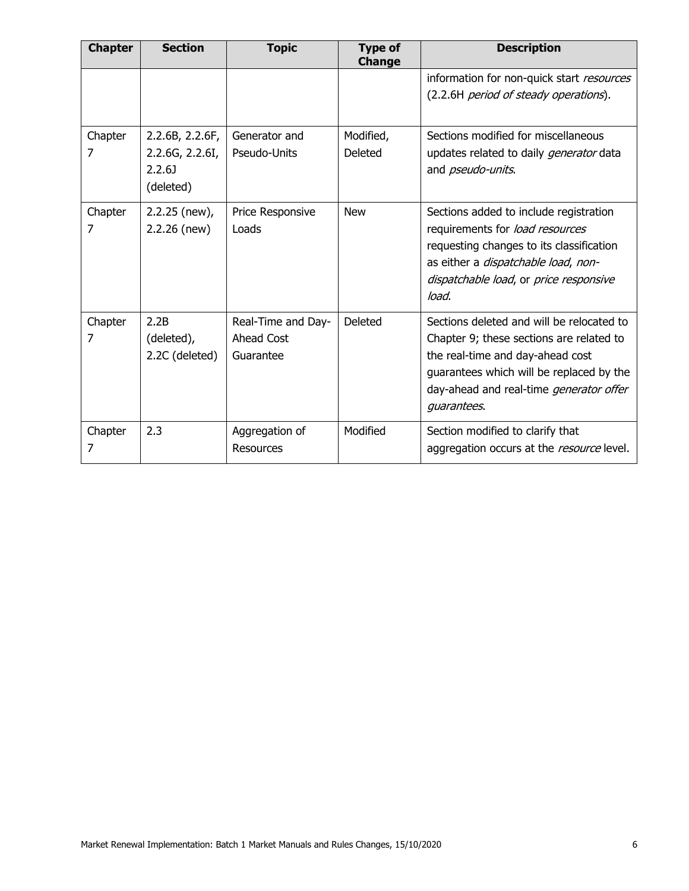| <b>Chapter</b> | <b>Section</b>                                            | <b>Topic</b>                                  | <b>Type of</b><br><b>Change</b> | <b>Description</b>                                                                                                                                                                                                                     |
|----------------|-----------------------------------------------------------|-----------------------------------------------|---------------------------------|----------------------------------------------------------------------------------------------------------------------------------------------------------------------------------------------------------------------------------------|
|                |                                                           |                                               |                                 | information for non-quick start resources<br>(2.2.6H period of steady operations).                                                                                                                                                     |
| Chapter<br>7   | 2.2.6B, 2.2.6F,<br>2.2.6G, 2.2.6I,<br>2.2.6J<br>(deleted) | Generator and<br>Pseudo-Units                 | Modified,<br>Deleted            | Sections modified for miscellaneous<br>updates related to daily generator data<br>and <i>pseudo-units</i> .                                                                                                                            |
| Chapter<br>7   | 2.2.25 (new),<br>$2.2.26$ (new)                           | Price Responsive<br>Loads                     | <b>New</b>                      | Sections added to include registration<br>requirements for load resources<br>requesting changes to its classification<br>as either a dispatchable load, non-<br>dispatchable load, or price responsive<br>load.                        |
| Chapter<br>7   | 2.2B<br>(deleted),<br>2.2C (deleted)                      | Real-Time and Day-<br>Ahead Cost<br>Guarantee | <b>Deleted</b>                  | Sections deleted and will be relocated to<br>Chapter 9; these sections are related to<br>the real-time and day-ahead cost<br>guarantees which will be replaced by the<br>day-ahead and real-time <i>generator offer</i><br>guarantees. |
| Chapter<br>7   | 2.3                                                       | Aggregation of<br>Resources                   | Modified                        | Section modified to clarify that<br>aggregation occurs at the resource level.                                                                                                                                                          |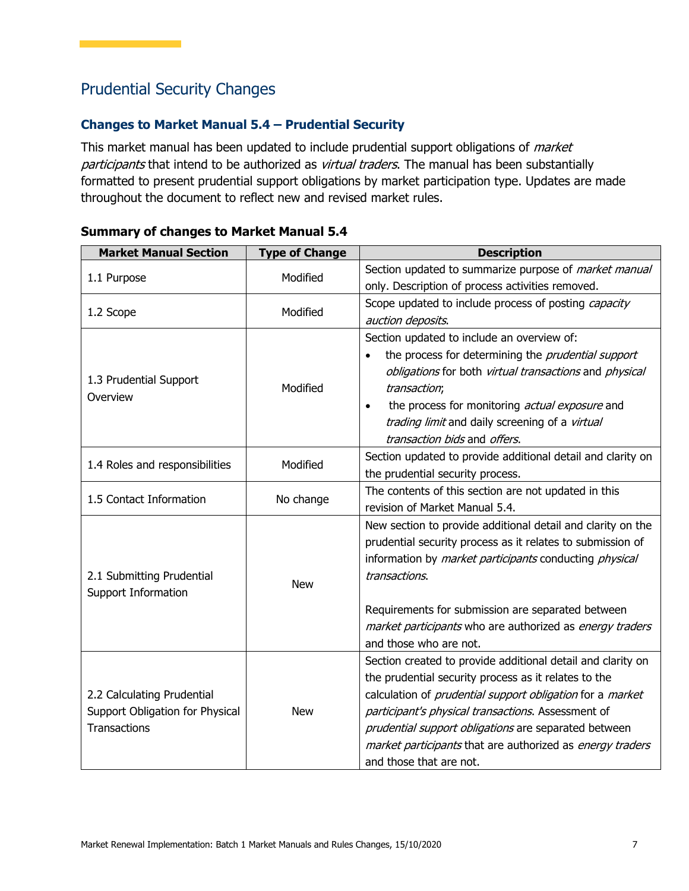## Prudential Security Changes

## **Changes to Market Manual 5.4 – Prudential Security**

This market manual has been updated to include prudential support obligations of *market* participants that intend to be authorized as virtual traders. The manual has been substantially formatted to present prudential support obligations by market participation type. Updates are made throughout the document to reflect new and revised market rules.

| <b>Market Manual Section</b>    | <b>Type of Change</b> | <b>Description</b>                                                      |
|---------------------------------|-----------------------|-------------------------------------------------------------------------|
|                                 | Modified              | Section updated to summarize purpose of <i>market manual</i>            |
| 1.1 Purpose                     |                       | only. Description of process activities removed.                        |
| 1.2 Scope                       | Modified              | Scope updated to include process of posting capacity                    |
|                                 |                       | auction deposits.                                                       |
|                                 |                       | Section updated to include an overview of:                              |
|                                 |                       | the process for determining the <i>prudential support</i>               |
| 1.3 Prudential Support          |                       | obligations for both virtual transactions and physical                  |
| Overview                        | Modified              | transaction;                                                            |
|                                 |                       | the process for monitoring actual exposure and<br>$\bullet$             |
|                                 |                       | trading limit and daily screening of a virtual                          |
|                                 |                       | transaction bids and offers.                                            |
| 1.4 Roles and responsibilities  | Modified              | Section updated to provide additional detail and clarity on             |
|                                 |                       | the prudential security process.                                        |
| 1.5 Contact Information         | No change             | The contents of this section are not updated in this                    |
|                                 |                       | revision of Market Manual 5.4.                                          |
|                                 |                       | New section to provide additional detail and clarity on the             |
|                                 |                       | prudential security process as it relates to submission of              |
|                                 |                       | information by <i>market participants</i> conducting <i>physical</i>    |
| 2.1 Submitting Prudential       | <b>New</b>            | transactions.                                                           |
| <b>Support Information</b>      |                       |                                                                         |
|                                 |                       | Requirements for submission are separated between                       |
|                                 |                       | market participants who are authorized as energy traders                |
|                                 |                       | and those who are not.                                                  |
|                                 |                       | Section created to provide additional detail and clarity on             |
|                                 |                       | the prudential security process as it relates to the                    |
| 2.2 Calculating Prudential      |                       | calculation of <i>prudential support obligation</i> for a <i>market</i> |
| Support Obligation for Physical | <b>New</b>            | participant's physical transactions. Assessment of                      |
| <b>Transactions</b>             |                       | prudential support obligations are separated between                    |
|                                 |                       | market participants that are authorized as energy traders               |
|                                 |                       | and those that are not.                                                 |

#### **Summary of changes to Market Manual 5.4**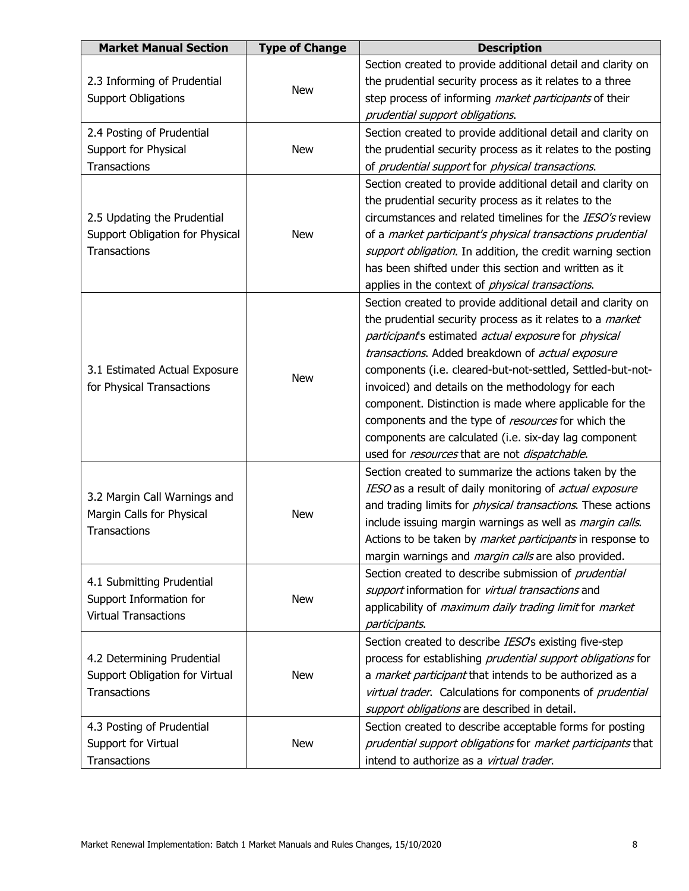| <b>Market Manual Section</b>                              | <b>Type of Change</b> | <b>Description</b>                                                  |
|-----------------------------------------------------------|-----------------------|---------------------------------------------------------------------|
|                                                           |                       | Section created to provide additional detail and clarity on         |
| 2.3 Informing of Prudential                               | <b>New</b>            | the prudential security process as it relates to a three            |
| <b>Support Obligations</b>                                |                       | step process of informing <i>market participants</i> of their       |
|                                                           |                       | prudential support obligations.                                     |
| 2.4 Posting of Prudential                                 |                       | Section created to provide additional detail and clarity on         |
| Support for Physical                                      | <b>New</b>            | the prudential security process as it relates to the posting        |
| <b>Transactions</b>                                       |                       | of prudential support for physical transactions.                    |
|                                                           |                       | Section created to provide additional detail and clarity on         |
|                                                           |                       | the prudential security process as it relates to the                |
| 2.5 Updating the Prudential                               |                       | circumstances and related timelines for the IESO's review           |
| Support Obligation for Physical                           | <b>New</b>            | of a market participant's physical transactions prudential          |
| <b>Transactions</b>                                       |                       | support obligation. In addition, the credit warning section         |
|                                                           |                       | has been shifted under this section and written as it               |
|                                                           |                       | applies in the context of <i>physical transactions</i> .            |
|                                                           |                       | Section created to provide additional detail and clarity on         |
|                                                           |                       | the prudential security process as it relates to a <i>market</i>    |
|                                                           |                       | participant's estimated actual exposure for physical                |
|                                                           |                       | transactions. Added breakdown of actual exposure                    |
| 3.1 Estimated Actual Exposure                             | <b>New</b>            | components (i.e. cleared-but-not-settled, Settled-but-not-          |
| for Physical Transactions                                 |                       | invoiced) and details on the methodology for each                   |
|                                                           |                       | component. Distinction is made where applicable for the             |
|                                                           |                       | components and the type of resources for which the                  |
|                                                           |                       | components are calculated (i.e. six-day lag component               |
|                                                           |                       | used for resources that are not dispatchable.                       |
|                                                           |                       | Section created to summarize the actions taken by the               |
|                                                           |                       | IESO as a result of daily monitoring of actual exposure             |
| 3.2 Margin Call Warnings and<br>Margin Calls for Physical | <b>New</b>            | and trading limits for <i>physical transactions</i> . These actions |
| <b>Transactions</b>                                       |                       | include issuing margin warnings as well as <i>margin calls</i> .    |
|                                                           |                       | Actions to be taken by <i>market participants</i> in response to    |
|                                                           |                       | margin warnings and <i>margin calls</i> are also provided.          |
| 4.1 Submitting Prudential                                 |                       | Section created to describe submission of <i>prudential</i>         |
| Support Information for                                   | <b>New</b>            | support information for virtual transactions and                    |
| <b>Virtual Transactions</b>                               |                       | applicability of maximum daily trading limit for market             |
|                                                           |                       | participants.                                                       |
|                                                           |                       | Section created to describe IESOs existing five-step                |
| 4.2 Determining Prudential                                |                       | process for establishing prudential support obligations for         |
| Support Obligation for Virtual                            | <b>New</b>            | a <i>market participant</i> that intends to be authorized as a      |
| <b>Transactions</b>                                       |                       | virtual trader. Calculations for components of prudential           |
|                                                           |                       | support obligations are described in detail.                        |
| 4.3 Posting of Prudential                                 |                       | Section created to describe acceptable forms for posting            |
| Support for Virtual                                       | <b>New</b>            | prudential support obligations for market participants that         |
| <b>Transactions</b>                                       |                       | intend to authorize as a virtual trader.                            |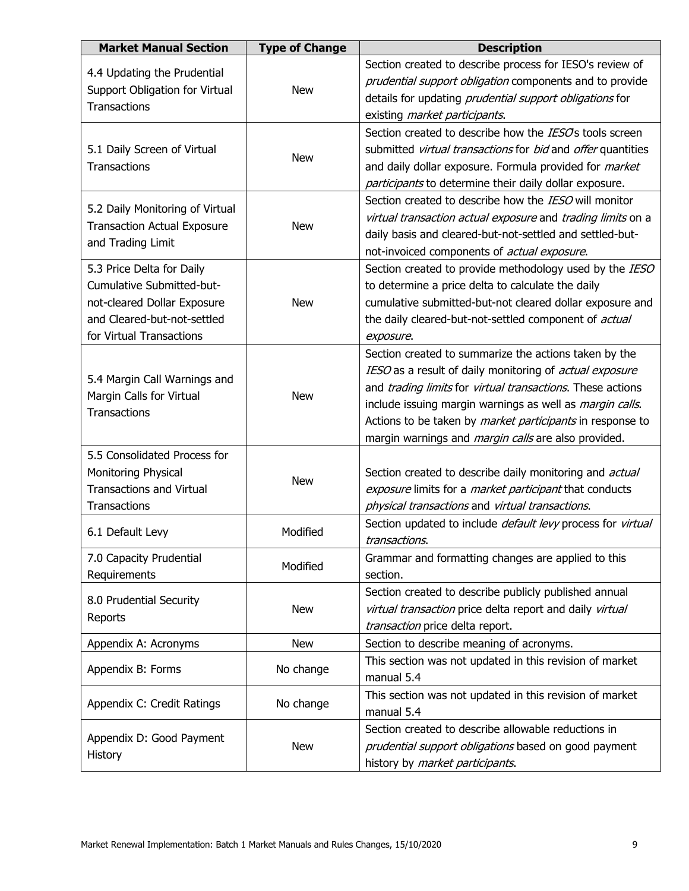| <b>Market Manual Section</b>                                                                                                                     | <b>Type of Change</b> | <b>Description</b>                                                                                                                                                                                                                                                                                                                                                                   |
|--------------------------------------------------------------------------------------------------------------------------------------------------|-----------------------|--------------------------------------------------------------------------------------------------------------------------------------------------------------------------------------------------------------------------------------------------------------------------------------------------------------------------------------------------------------------------------------|
| 4.4 Updating the Prudential<br>Support Obligation for Virtual<br>Transactions                                                                    | <b>New</b>            | Section created to describe process for IESO's review of<br>prudential support obligation components and to provide<br>details for updating prudential support obligations for<br>existing <i>market participants</i> .                                                                                                                                                              |
| 5.1 Daily Screen of Virtual<br>Transactions                                                                                                      | <b>New</b>            | Section created to describe how the <i>IESO</i> 's tools screen<br>submitted virtual transactions for bid and offer quantities<br>and daily dollar exposure. Formula provided for <i>market</i><br>participants to determine their daily dollar exposure.                                                                                                                            |
| 5.2 Daily Monitoring of Virtual<br><b>Transaction Actual Exposure</b><br>and Trading Limit                                                       | <b>New</b>            | Section created to describe how the <i>IESO</i> will monitor<br>virtual transaction actual exposure and trading limits on a<br>daily basis and cleared-but-not-settled and settled-but-<br>not-invoiced components of <i>actual exposure</i> .                                                                                                                                       |
| 5.3 Price Delta for Daily<br>Cumulative Submitted-but-<br>not-cleared Dollar Exposure<br>and Cleared-but-not-settled<br>for Virtual Transactions | <b>New</b>            | Section created to provide methodology used by the IESO<br>to determine a price delta to calculate the daily<br>cumulative submitted-but-not cleared dollar exposure and<br>the daily cleared-but-not-settled component of actual<br>exposure.                                                                                                                                       |
| 5.4 Margin Call Warnings and<br>Margin Calls for Virtual<br>Transactions                                                                         | <b>New</b>            | Section created to summarize the actions taken by the<br>IESO as a result of daily monitoring of <i>actual exposure</i><br>and trading limits for virtual transactions. These actions<br>include issuing margin warnings as well as <i>margin calls</i> .<br>Actions to be taken by market participants in response to<br>margin warnings and <i>margin calls</i> are also provided. |
| 5.5 Consolidated Process for<br>Monitoring Physical<br><b>Transactions and Virtual</b><br>Transactions                                           | <b>New</b>            | Section created to describe daily monitoring and <i>actual</i><br>exposure limits for a <i>market participant</i> that conducts<br>physical transactions and virtual transactions.                                                                                                                                                                                                   |
| 6.1 Default Levy                                                                                                                                 | Modified              | Section updated to include <i>default levy</i> process for virtual<br><i>transactions.</i>                                                                                                                                                                                                                                                                                           |
| 7.0 Capacity Prudential<br>Requirements                                                                                                          | Modified              | Grammar and formatting changes are applied to this<br>section.                                                                                                                                                                                                                                                                                                                       |
| 8.0 Prudential Security<br>Reports                                                                                                               | <b>New</b>            | Section created to describe publicly published annual<br>virtual transaction price delta report and daily virtual<br>transaction price delta report.                                                                                                                                                                                                                                 |
| Appendix A: Acronyms                                                                                                                             | <b>New</b>            | Section to describe meaning of acronyms.                                                                                                                                                                                                                                                                                                                                             |
| Appendix B: Forms                                                                                                                                | No change             | This section was not updated in this revision of market<br>manual 5.4                                                                                                                                                                                                                                                                                                                |
| Appendix C: Credit Ratings                                                                                                                       | No change             | This section was not updated in this revision of market<br>manual 5.4                                                                                                                                                                                                                                                                                                                |
| Appendix D: Good Payment<br>History                                                                                                              | <b>New</b>            | Section created to describe allowable reductions in<br>prudential support obligations based on good payment<br>history by market participants.                                                                                                                                                                                                                                       |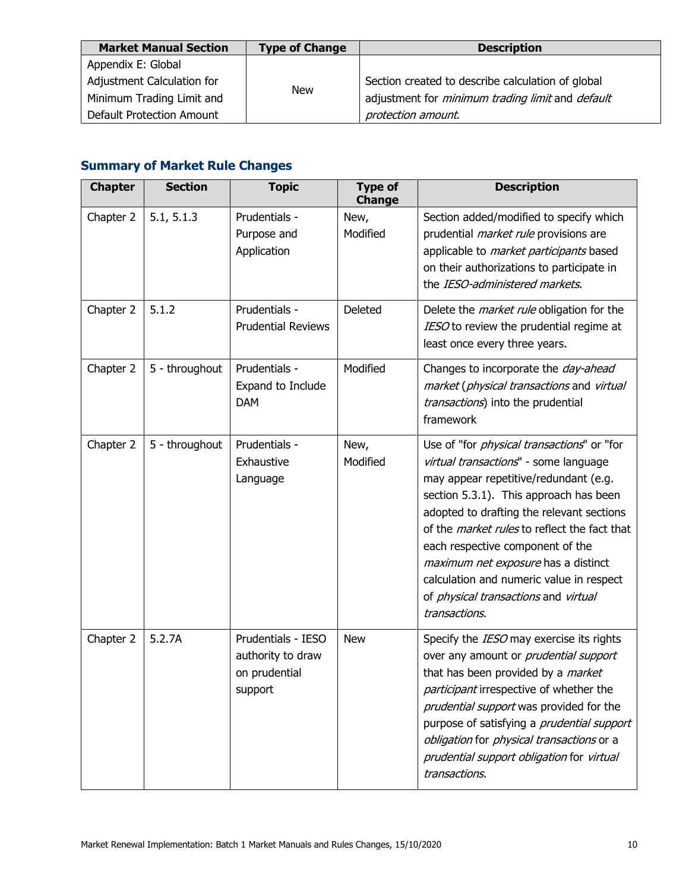| <b>Market Manual Section</b> | <b>Type of Change</b> | <b>Description</b>                                             |
|------------------------------|-----------------------|----------------------------------------------------------------|
| Appendix E: Global           |                       |                                                                |
| Adjustment Calculation for   |                       | Section created to describe calculation of global              |
| Minimum Trading Limit and    | <b>New</b>            | adjustment for <i>minimum trading limit</i> and <i>default</i> |
| Default Protection Amount    |                       | protection amount.                                             |

## **Summary of Market Rule Changes**

| <b>Chapter</b> | <b>Section</b> | <b>Topic</b>                                                        | <b>Type of</b><br><b>Change</b> | <b>Description</b>                                                                                                                                                                                                                                                                                                                                                                                                                                                        |
|----------------|----------------|---------------------------------------------------------------------|---------------------------------|---------------------------------------------------------------------------------------------------------------------------------------------------------------------------------------------------------------------------------------------------------------------------------------------------------------------------------------------------------------------------------------------------------------------------------------------------------------------------|
| Chapter 2      | 5.1, 5.1.3     | Prudentials -<br>Purpose and<br>Application                         | New,<br>Modified                | Section added/modified to specify which<br>prudential <i>market rule</i> provisions are<br>applicable to market participants based<br>on their authorizations to participate in<br>the IESO-administered markets.                                                                                                                                                                                                                                                         |
| Chapter 2      | 5.1.2          | Prudentials -<br><b>Prudential Reviews</b>                          | <b>Deleted</b>                  | Delete the <i>market rule</i> obligation for the<br>IESO to review the prudential regime at<br>least once every three years.                                                                                                                                                                                                                                                                                                                                              |
| Chapter 2      | 5 - throughout | Prudentials -<br>Expand to Include<br><b>DAM</b>                    | Modified                        | Changes to incorporate the <i>day-ahead</i><br>market (physical transactions and virtual<br>transactions) into the prudential<br>framework                                                                                                                                                                                                                                                                                                                                |
| Chapter 2      | 5 - throughout | Prudentials -<br>Exhaustive<br>Language                             | New,<br>Modified                | Use of "for <i>physical transactions</i> " or "for<br>virtual transactions" - some language<br>may appear repetitive/redundant (e.g.<br>section 5.3.1). This approach has been<br>adopted to drafting the relevant sections<br>of the <i>market rules</i> to reflect the fact that<br>each respective component of the<br>maximum net exposure has a distinct<br>calculation and numeric value in respect<br>of <i>physical transactions</i> and virtual<br>transactions. |
| Chapter 2      | 5.2.7A         | Prudentials - IESO<br>authority to draw<br>on prudential<br>support | <b>New</b>                      | Specify the IESO may exercise its rights<br>over any amount or prudential support<br>that has been provided by a market<br>participant irrespective of whether the<br>prudential support was provided for the<br>purpose of satisfying a <i>prudential support</i><br>obligation for physical transactions or a<br>prudential support obligation for virtual<br>transactions.                                                                                             |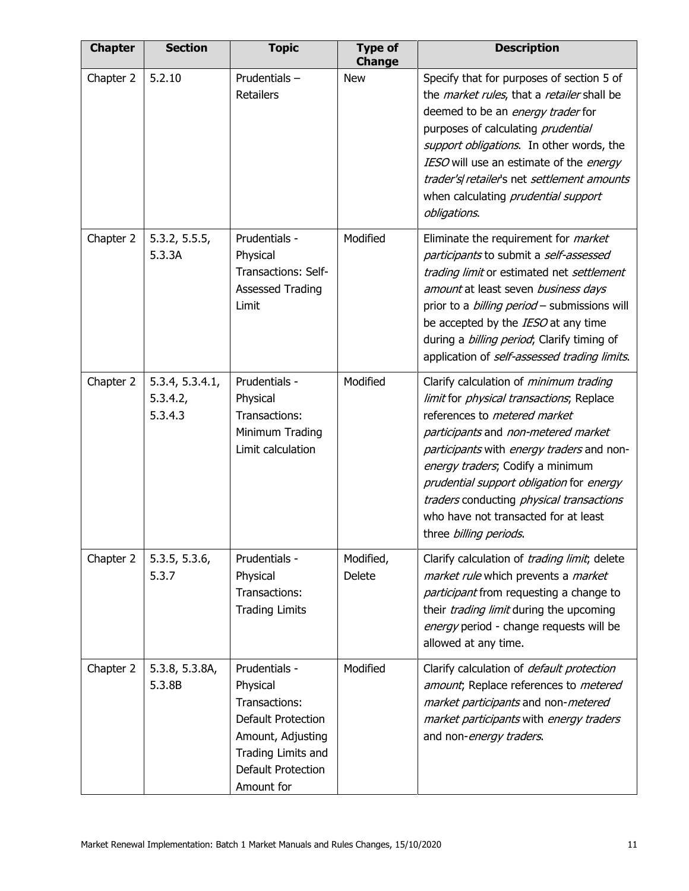| <b>Chapter</b> | <b>Section</b>                         | <b>Topic</b>                                                                                                                                    | <b>Type of</b><br><b>Change</b> | <b>Description</b>                                                                                                                                                                                                                                                                                                                                                                                                  |
|----------------|----------------------------------------|-------------------------------------------------------------------------------------------------------------------------------------------------|---------------------------------|---------------------------------------------------------------------------------------------------------------------------------------------------------------------------------------------------------------------------------------------------------------------------------------------------------------------------------------------------------------------------------------------------------------------|
| Chapter 2      | 5.2.10                                 | Prudentials-<br><b>Retailers</b>                                                                                                                | <b>New</b>                      | Specify that for purposes of section 5 of<br>the <i>market rules</i> , that a retailer shall be<br>deemed to be an energy trader for<br>purposes of calculating prudential<br>support obligations. In other words, the<br>IESO will use an estimate of the energy<br>trader's retailer's net settlement amounts<br>when calculating prudential support<br>obligations.                                              |
| Chapter 2      | 5.3.2, 5.5.5,<br>5.3.3A                | Prudentials -<br>Physical<br><b>Transactions: Self-</b><br><b>Assessed Trading</b><br>Limit                                                     | Modified                        | Eliminate the requirement for <i>market</i><br>participants to submit a self-assessed<br>trading limit or estimated net settlement<br>amount at least seven business days<br>prior to a <i>billing period</i> - submissions will<br>be accepted by the IESO at any time<br>during a <i>billing period</i> ; Clarify timing of<br>application of self-assessed trading limits.                                       |
| Chapter 2      | 5.3.4, 5.3.4.1,<br>5.3.4.2,<br>5.3.4.3 | Prudentials -<br>Physical<br>Transactions:<br>Minimum Trading<br>Limit calculation                                                              | Modified                        | Clarify calculation of <i>minimum trading</i><br>limit for <i>physical transactions</i> ; Replace<br>references to metered market<br>participants and non-metered market<br>participants with energy traders and non-<br>energy traders; Codify a minimum<br>prudential support obligation for energy<br>traders conducting physical transactions<br>who have not transacted for at least<br>three billing periods. |
| Chapter 2      | 5.3.5, 5.3.6,<br>5.3.7                 | Prudentials -<br>Physical<br>Transactions:<br><b>Trading Limits</b>                                                                             | Modified,<br>Delete             | Clarify calculation of <i>trading limit</i> ; delete<br>market rule which prevents a market<br>participant from requesting a change to<br>their <i>trading limit</i> during the upcoming<br>energy period - change requests will be<br>allowed at any time.                                                                                                                                                         |
| Chapter 2      | 5.3.8, 5.3.8A,<br>5.3.8B               | Prudentials -<br>Physical<br>Transactions:<br>Default Protection<br>Amount, Adjusting<br>Trading Limits and<br>Default Protection<br>Amount for | Modified                        | Clarify calculation of <i>default protection</i><br>amount; Replace references to metered<br>market participants and non-metered<br>market participants with energy traders<br>and non-energy traders.                                                                                                                                                                                                              |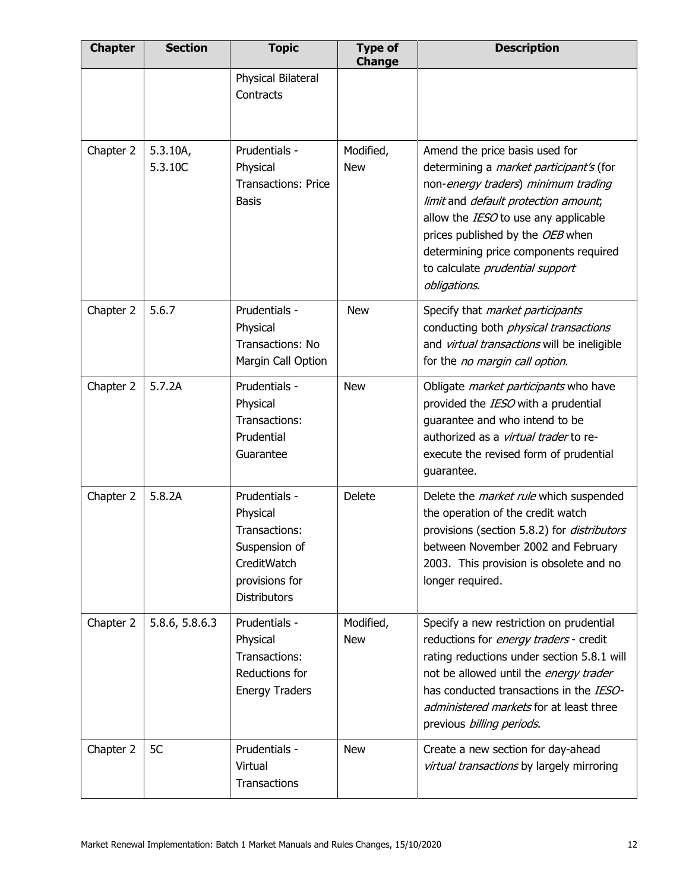| <b>Chapter</b> | <b>Section</b>      | <b>Topic</b>                                                                                                        | <b>Type of</b><br><b>Change</b> | <b>Description</b>                                                                                                                                                                                                                                                                                                                      |
|----------------|---------------------|---------------------------------------------------------------------------------------------------------------------|---------------------------------|-----------------------------------------------------------------------------------------------------------------------------------------------------------------------------------------------------------------------------------------------------------------------------------------------------------------------------------------|
|                |                     | Physical Bilateral<br>Contracts                                                                                     |                                 |                                                                                                                                                                                                                                                                                                                                         |
| Chapter 2      | 5.3.10A,<br>5.3.10C | Prudentials -<br>Physical<br><b>Transactions: Price</b><br><b>Basis</b>                                             | Modified,<br><b>New</b>         | Amend the price basis used for<br>determining a <i>market participant's</i> (for<br>non-energy traders) minimum trading<br>limit and default protection amount;<br>allow the IESO to use any applicable<br>prices published by the OEB when<br>determining price components required<br>to calculate prudential support<br>obligations. |
| Chapter 2      | 5.6.7               | Prudentials -<br>Physical<br>Transactions: No<br>Margin Call Option                                                 | <b>New</b>                      | Specify that <i>market participants</i><br>conducting both <i>physical transactions</i><br>and virtual transactions will be ineligible<br>for the no margin call option.                                                                                                                                                                |
| Chapter 2      | 5.7.2A              | Prudentials -<br>Physical<br>Transactions:<br>Prudential<br>Guarantee                                               | <b>New</b>                      | Obligate <i>market participants</i> who have<br>provided the IESO with a prudential<br>quarantee and who intend to be<br>authorized as a virtual trader to re-<br>execute the revised form of prudential<br>guarantee.                                                                                                                  |
| Chapter 2      | 5.8.2A              | Prudentials -<br>Physical<br>Transactions:<br>Suspension of<br>CreditWatch<br>provisions for<br><b>Distributors</b> | Delete                          | Delete the <i>market rule</i> which suspended<br>the operation of the credit watch<br>provisions (section 5.8.2) for <i>distributors</i><br>between November 2002 and February<br>2003. This provision is obsolete and no<br>longer required.                                                                                           |
| Chapter 2      | 5.8.6, 5.8.6.3      | Prudentials -<br>Physical<br>Transactions:<br>Reductions for<br><b>Energy Traders</b>                               | Modified,<br><b>New</b>         | Specify a new restriction on prudential<br>reductions for energy traders - credit<br>rating reductions under section 5.8.1 will<br>not be allowed until the energy trader<br>has conducted transactions in the IESO-<br>administered markets for at least three<br>previous billing periods.                                            |
| Chapter 2      | 5C                  | Prudentials -<br>Virtual<br>Transactions                                                                            | <b>New</b>                      | Create a new section for day-ahead<br>virtual transactions by largely mirroring                                                                                                                                                                                                                                                         |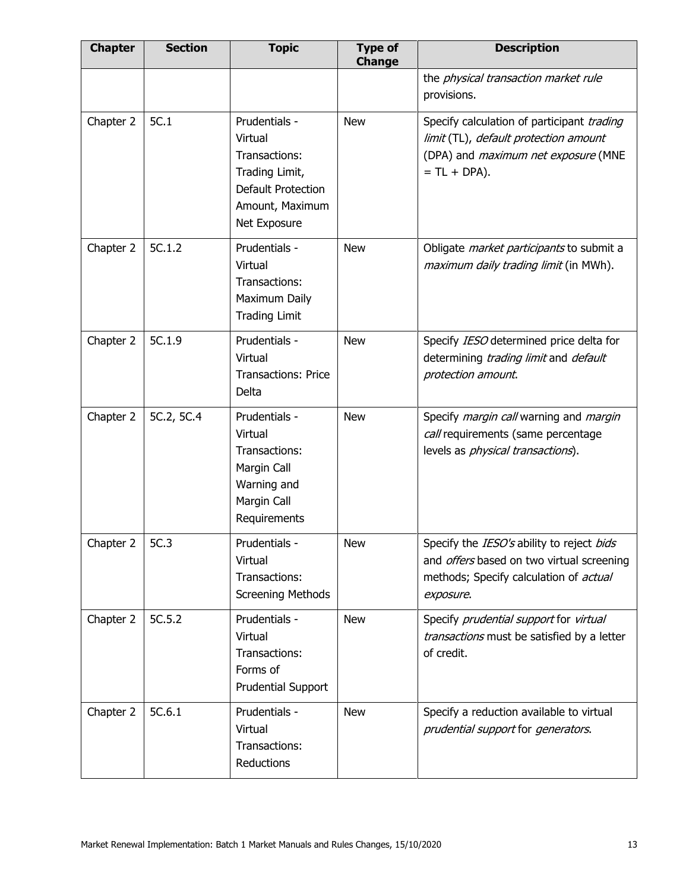| <b>Chapter</b> | <b>Section</b> | <b>Topic</b>                                                                                                         | <b>Type of</b><br><b>Change</b> | <b>Description</b>                                                                                                                                   |
|----------------|----------------|----------------------------------------------------------------------------------------------------------------------|---------------------------------|------------------------------------------------------------------------------------------------------------------------------------------------------|
|                |                |                                                                                                                      |                                 | the physical transaction market rule<br>provisions.                                                                                                  |
| Chapter 2      | 5C.1           | Prudentials -<br>Virtual<br>Transactions:<br>Trading Limit,<br>Default Protection<br>Amount, Maximum<br>Net Exposure | <b>New</b>                      | Specify calculation of participant trading<br>limit (TL), default protection amount<br>(DPA) and <i>maximum net exposure</i> (MNE<br>$= TL + DPA$ ). |
| Chapter 2      | 5C.1.2         | Prudentials -<br>Virtual<br>Transactions:<br>Maximum Daily<br><b>Trading Limit</b>                                   | <b>New</b>                      | Obligate <i>market participants</i> to submit a<br>maximum daily trading limit (in MWh).                                                             |
| Chapter 2      | 5C.1.9         | Prudentials -<br>Virtual<br><b>Transactions: Price</b><br>Delta                                                      | <b>New</b>                      | Specify IESO determined price delta for<br>determining trading limit and default<br>protection amount.                                               |
| Chapter 2      | 5C.2, 5C.4     | Prudentials -<br>Virtual<br>Transactions:<br>Margin Call<br>Warning and<br>Margin Call<br>Requirements               | <b>New</b>                      | Specify margin call warning and margin<br>call requirements (same percentage<br>levels as <i>physical transactions</i> ).                            |
| Chapter 2      | 5C.3           | Prudentials -<br>Virtual<br>Transactions:<br><b>Screening Methods</b>                                                | <b>New</b>                      | Specify the IESO's ability to reject bids<br>and <i>offers</i> based on two virtual screening<br>methods; Specify calculation of actual<br>exposure. |
| Chapter 2      | 5C.5.2         | Prudentials -<br>Virtual<br>Transactions:<br>Forms of<br><b>Prudential Support</b>                                   | <b>New</b>                      | Specify prudential support for virtual<br>transactions must be satisfied by a letter<br>of credit.                                                   |
| Chapter 2      | 5C.6.1         | Prudentials -<br>Virtual<br>Transactions:<br>Reductions                                                              | <b>New</b>                      | Specify a reduction available to virtual<br>prudential support for generators.                                                                       |